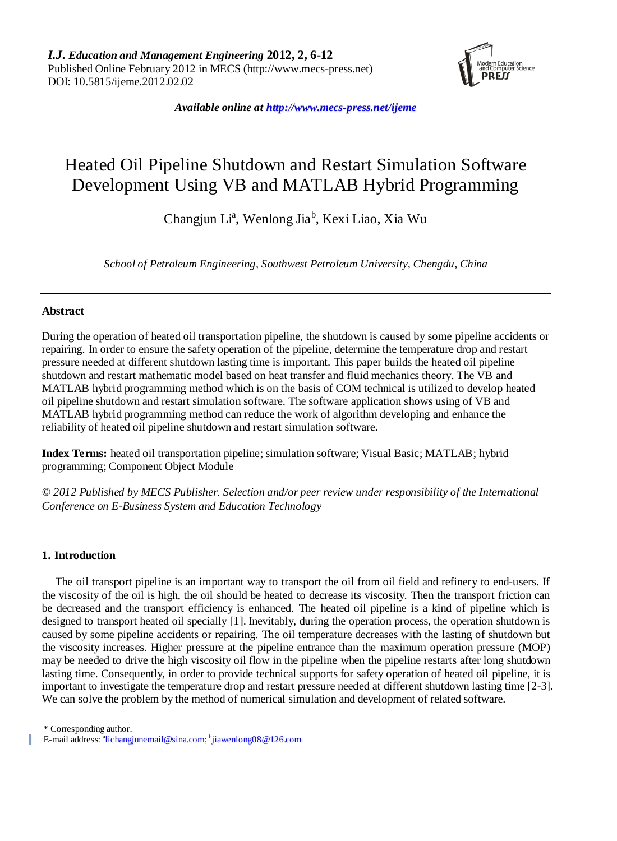

*Available online at http://www.mecs-press.net/ijeme*

# Heated Oil Pipeline Shutdown and Restart Simulation Software Development Using VB and MATLAB Hybrid Programming

Changjun Li<sup>a</sup>, Wenlong Jia<sup>b</sup>, Kexi Liao, Xia Wu

*School of Petroleum Engineering, Southwest Petroleum University, Chengdu, China*

# **Abstract**

During the operation of heated oil transportation pipeline, the shutdown is caused by some pipeline accidents or repairing. In order to ensure the safety operation of the pipeline, determine the temperature drop and restart pressure needed at different shutdown lasting time is important. This paper builds the heated oil pipeline shutdown and restart mathematic model based on heat transfer and fluid mechanics theory. The VB and MATLAB hybrid programming method which is on the basis of COM technical is utilized to develop heated oil pipeline shutdown and restart simulation software. The software application shows using of VB and MATLAB hybrid programming method can reduce the work of algorithm developing and enhance the reliability of heated oil pipeline shutdown and restart simulation software.

**Index Terms:** heated oil transportation pipeline; simulation software; Visual Basic; MATLAB; hybrid programming; Component Object Module

*© 2012 Published by MECS Publisher. Selection and/or peer review under responsibility of the International Conference on E-Business System and Education Technology*

# **1. Introduction**

The oil transport pipeline is an important way to transport the oil from oil field and refinery to end-users. If the viscosity of the oil is high, the oil should be heated to decrease its viscosity. Then the transport friction can be decreased and the transport efficiency is enhanced. The heated oil pipeline is a kind of pipeline which is designed to transport heated oil specially [1]. Inevitably, during the operation process, the operation shutdown is caused by some pipeline accidents or repairing. The oil temperature decreases with the lasting of shutdown but the viscosity increases. Higher pressure at the pipeline entrance than the maximum operation pressure (MOP) may be needed to drive the high viscosity oil flow in the pipeline when the pipeline restarts after long shutdown lasting time. Consequently, in order to provide technical supports for safety operation of heated oil pipeline, it is important to investigate the temperature drop and restart pressure needed at different shutdown lasting time [2-3]. We can solve the problem by the method of numerical simulation and development of related software.

\* Corresponding author.

E-mail address: "[lichangjunemail@sina.com;](mailto:lichangjunemail@sina.com) "[jiawenlong08@126.com](mailto:bjiawenlong08@126.com)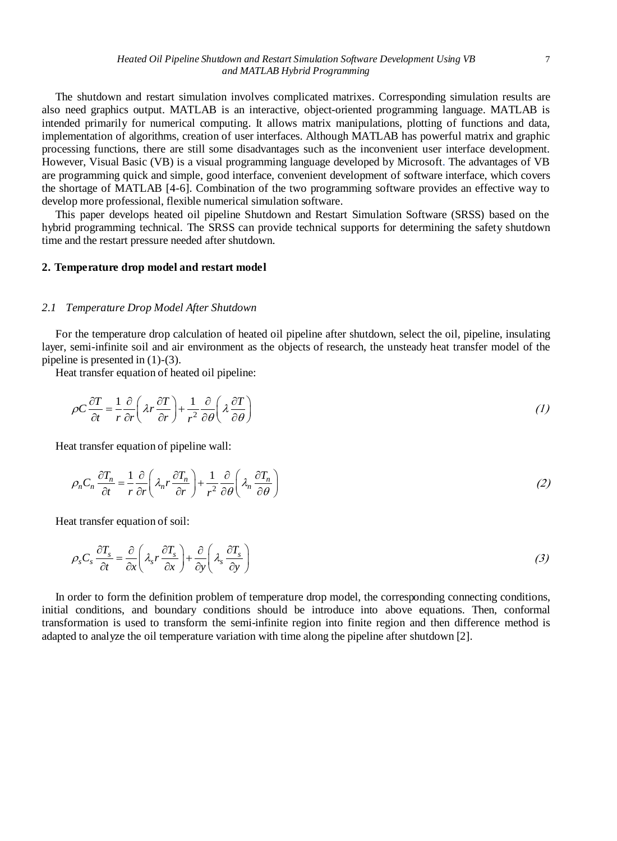The shutdown and restart simulation involves complicated matrixes. Corresponding simulation results are also need graphics output. MATLAB is an interactive, object-oriented programming language. MATLAB is intended primarily for numerical computing. It allows matrix manipulations, plotting of functions and data, implementation of algorithms, creation of user interfaces. Although MATLAB has powerful matrix and graphic processing functions, there are still some disadvantages such as the inconvenient user interface development. However, Visual Basic (VB) is a visual programming language developed by Microso[ft.](http://en.wikipedia.org/wiki/Microsoft) The advantages of VB are programming quick and simple, good interface, convenient development of software interface, which covers the shortage of MATLAB [4-6]. Combination of the two programming software provides an effective way to develop more professional, flexible numerical simulation software.

This paper develops heated oil pipeline Shutdown and Restart Simulation Software (SRSS) based on the hybrid programming technical. The SRSS can provide technical supports for determining the safety shutdown time and the restart pressure needed after shutdown.

# **2. Temperature drop model and restart model**

### *2.1 Temperature Drop Model After Shutdown*

For the temperature drop calculation of heated oil pipeline after shutdown, select the oil, pipeline, insulating layer, semi-infinite soil and air environment as the objects of research, the unsteady heat transfer model of the pipeline is presented in (1)-(3).

Heat transfer equation of heated oil pipeline:

$$
\rho C \frac{\partial T}{\partial t} = \frac{1}{r} \frac{\partial}{\partial r} \left( \lambda r \frac{\partial T}{\partial r} \right) + \frac{1}{r^2} \frac{\partial}{\partial \theta} \left( \lambda \frac{\partial T}{\partial \theta} \right) \tag{1}
$$

Heat transfer equation of pipeline wall:

$$
\rho_n C_n \frac{\partial T_n}{\partial t} = \frac{1}{r} \frac{\partial}{\partial r} \left( \lambda_n r \frac{\partial T_n}{\partial r} \right) + \frac{1}{r^2} \frac{\partial}{\partial \theta} \left( \lambda_n \frac{\partial T_n}{\partial \theta} \right)
$$
(2)

Heat transfer equation of soil:

$$
\rho_s C_s \frac{\partial T_s}{\partial t} = \frac{\partial}{\partial x} \left( \lambda_s r \frac{\partial T_s}{\partial x} \right) + \frac{\partial}{\partial y} \left( \lambda_s \frac{\partial T_s}{\partial y} \right)
$$
(3)

In order to form the definition problem of temperature drop model, the corresponding connecting conditions, initial conditions, and boundary conditions should be introduce into above equations. Then, conformal transformation is used to transform the semi-infinite region into finite region and then difference method is adapted to analyze the oil temperature variation with time along the pipeline after shutdown [2].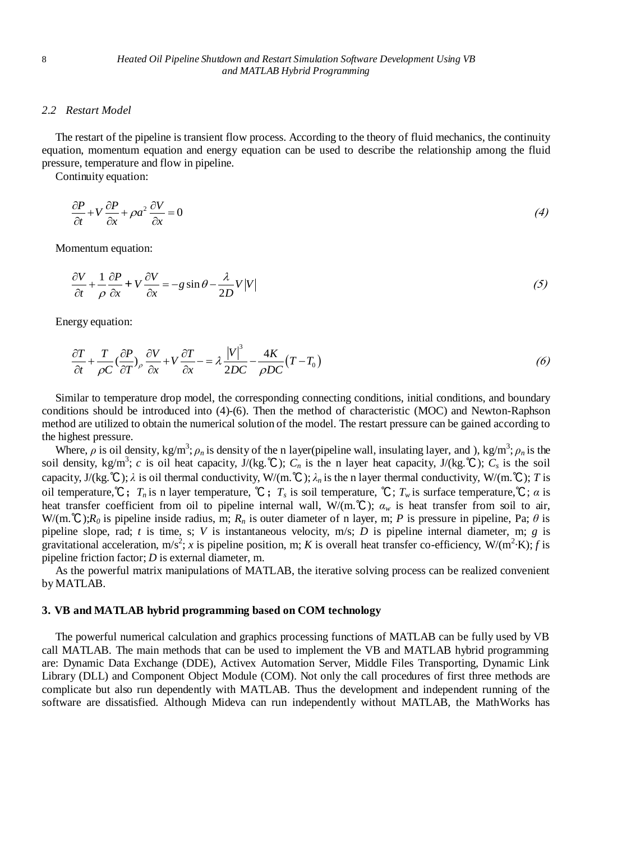## *2.2 Restart Model*

The restart of the pipeline is transient flow process. According to the theory of fluid mechanics, the continuity equation, momentum equation and energy equation can be used to describe the relationship among the fluid pressure, temperature and flow in pipeline.

Continuity equation:

$$
\frac{\partial P}{\partial t} + V \frac{\partial P}{\partial x} + \rho a^2 \frac{\partial V}{\partial x} = 0
$$
\n(4)

Momentum equation:

$$
\frac{\partial V}{\partial t} + \frac{1}{\rho} \frac{\partial P}{\partial x} + V \frac{\partial V}{\partial x} = -g \sin \theta - \frac{\lambda}{2D} V |V|
$$
 (5)

Energy equation:

$$
\frac{\partial T}{\partial t} + \frac{T}{\rho C} \left(\frac{\partial P}{\partial T}\right)_\rho \frac{\partial V}{\partial x} + V \frac{\partial T}{\partial x} - \frac{\partial V}{\partial D C} - \frac{4K}{\rho DC} (T - T_0) \tag{6}
$$

Similar to temperature drop model, the corresponding connecting conditions, initial conditions, and boundary conditions should be introduced into (4)-(6). Then the method of characteristic (MOC) and Newton-Raphson method are utilized to obtain the numerical solution of the model. The restart pressure can be gained according to the highest pressure.

Where,  $\rho$  is oil density, kg/m<sup>3</sup>;  $\rho_n$  is density of the n layer(pipeline wall, insulating layer, and ), kg/m<sup>3</sup>;  $\rho_n$  is the soil density, kg/m<sup>3</sup>; *c* is oil heat capacity, J/(kg.℃); *C<sub>n</sub>* is the n layer heat capacity, J/(kg.℃); *C<sub>s</sub>* is the soil capacity,  $J/(kg, \mathcal{C})$ ;  $\lambda$  is oil thermal conductivity, W/(m.  $\mathcal{C}$ );  $\lambda_n$  is the n layer thermal conductivity, W/(m.  $\mathcal{C}$ ); *T* is oil temperature,℃;*Tn* is n layer temperature, ℃;*T<sup>s</sup>* is soil temperature, ℃; *Tw* is surface temperature,℃; *α* is heat transfer coefficient from oil to pipeline internal wall, W/(m.℃); *α<sup>w</sup>* is heat transfer from soil to air, W/(m.  $\mathbb{C}$ );*R*<sub>0</sub> is pipeline inside radius, m; *R<sub>n</sub>* is outer diameter of n layer, m; *P* is pressure in pipeline, Pa;  $\theta$  is pipeline slope, rad; *t* is time, s; *V* is instantaneous velocity, m/s; *D* is pipeline internal diameter, m; *g* is gravitational acceleration, m/s<sup>2</sup>; *x* is pipeline position, m; *K* is overall heat transfer co-efficiency, W/(m<sup>2</sup> K); *f* is pipeline friction factor; *D* is external diameter, m.

As the powerful matrix manipulations of MATLAB, the iterative solving process can be realized convenient by MATLAB.

#### **3. VB and MATLAB hybrid programming based on COM technology**

The powerful numerical calculation and graphics processing functions of MATLAB can be fully used by VB call MATLAB. The main methods that can be used to implement the VB and MATLAB hybrid programming are: Dynamic Data Exchange (DDE), Activex Automation Server, Middle Files Transporting, Dynamic Link Library (DLL) and Component Object Module (COM). Not only the call procedures of first three methods are complicate but also run dependently with MATLAB. Thus the development and independent running of the software are dissatisfied. Although Mideva can run independently without MATLAB, the MathWorks has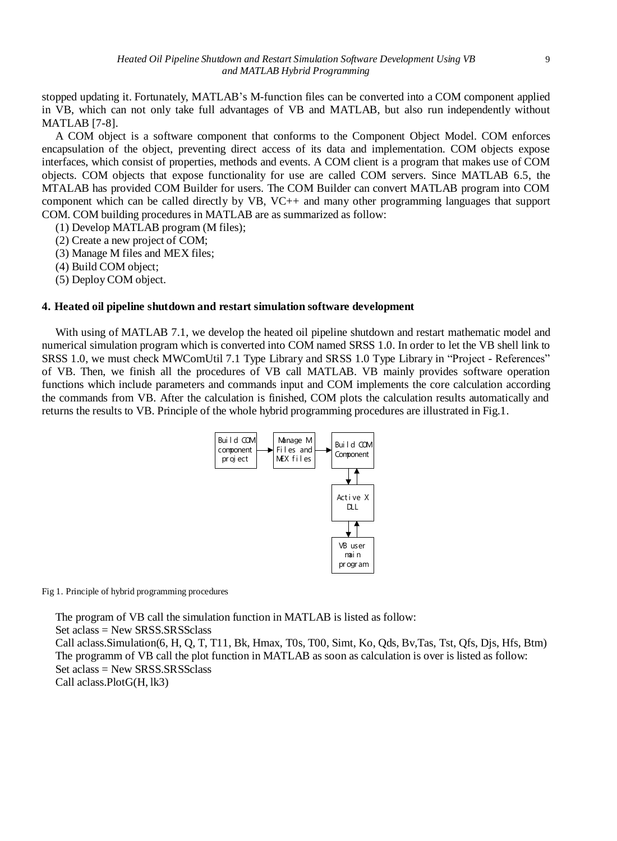stopped updating it. Fortunately, MATLAB's M-function files can be converted into a COM component applied in VB, which can not only take full advantages of VB and MATLAB, but also run independently without MATLAB [7-8[\].](http://www.iciba.com/matlab/)

A COM object is a software component that conforms to the Component Object Model. COM enforces encapsulation of the object, preventing direct access of its data and implementation. COM objects expose interfaces, which consist of properties, methods and events. A COM client is a program that makes use of COM objects. COM objects that expose functionality for use are called COM servers. Since MATLAB 6.5, the MTALAB has provided COM Builder for users. The COM Builder can convert MATLAB program into COM component which can be called directly by VB, VC++ and many other programming languages that support COM. COM building procedures in MATLAB are as summarized as follow:

(1) Develop MATLAB program (M files);

- (2) Create a new project of COM;
- (3) Manage M files and MEX files;
- (4) Build COM object;
- (5) Deploy COM object.

## **4. Heated oil pipeline shutdown and restart simulation software development**

With using of MATLAB 7.1, we develop the heated oil pipeline shutdown and restart mathematic model and numerical simulation program which is converted into COM named SRSS 1.0. In order to let the VB shell link to SRSS 1.0, we must check MWComUtil 7.1 Type Library and SRSS 1.0 Type Library in "Project - References" of VB. Then, we finish all the procedures of VB call MATLAB. VB mainly provides software operation functions which include parameters and commands input and COM implements the core calculation according the commands from VB. After the calculation is finished, COM plots the calculation results automatically and returns the results to VB. Principle of the whole hybrid programming procedures are illustrated in Fig.1.



Fig 1. Principle of hybrid programming procedures

The program of VB call the simulation function in MATLAB is listed as follow:

Set aclass = New SRSS.SRSSclass Call aclass.Simulation(6, H, Q, T, T11, Bk, Hmax, T0s, T00, Simt, Ko, Qds, Bv,Tas, Tst, Qfs, Djs, Hfs, Btm) The programm of VB call the plot function in MATLAB as soon as calculation is over is listed as follow: Set aclass = New SRSS.SRSSclass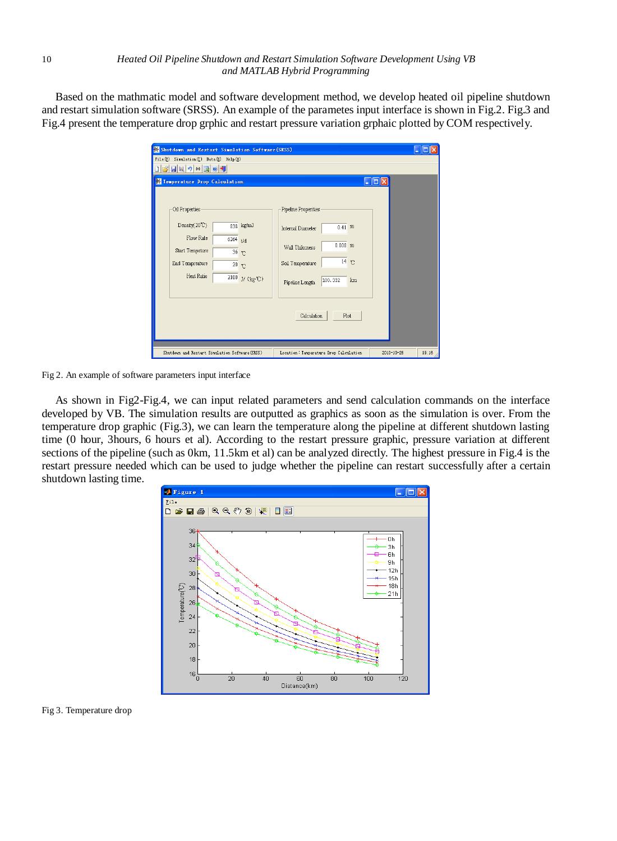Based on the mathmatic model and software development method, we develop heated oil pipeline shutdown and restart simulation software (SRSS). An example of the parametes input interface is shown in Fig.2. Fig.3 and Fig.4 present the temperature drop grphic and restart pressure variation grphaic plotted by COM respectively.

| Shutdown and Restart Simulation Software (SRSS)                                                                        |                                     |                 |  |
|------------------------------------------------------------------------------------------------------------------------|-------------------------------------|-----------------|--|
| File(E) Sinulation(E) Data(E) Help(H)<br>日日のトロの<br>岡<br>6                                                              |                                     |                 |  |
| $\lfloor \blacksquare \ \square\ $ X<br>Temperature Drop Calculation                                                   |                                     |                 |  |
|                                                                                                                        |                                     |                 |  |
| Oil Properties                                                                                                         | Pipeline Properities                |                 |  |
| Density(20°C)                                                                                                          | 838 kg/m3<br>Internal Diameter      | $0.41$ m        |  |
| Flow Rate<br>6264<br>Start Tempeture<br>36 <sub>1</sub>                                                                | tdd<br>Wall Thikcness               | $0.008$ m       |  |
| End Tempreature<br>20 <sub>2</sub>                                                                                     | Soil Temperature                    | 14 <sup>2</sup> |  |
| Heat Ratio                                                                                                             | $2100$ J/ (kg·C)<br>Pipeline Length | 100.332<br>km   |  |
|                                                                                                                        |                                     |                 |  |
| Calculation<br>Plot                                                                                                    |                                     |                 |  |
|                                                                                                                        |                                     |                 |  |
|                                                                                                                        |                                     |                 |  |
| Shutdown and Restart Simulation Software (SRSS)<br>19:16<br>Location: Temperature Drop Calculation<br>$2010 - 10 - 26$ |                                     |                 |  |

Fig 2. An example of software parameters input interface

As shown in Fig2-Fig.4, we can input related parameters and send calculation commands on the interface developed by VB. The simulation results are outputted as graphics as soon as the simulation is over. From the temperature drop graphic (Fig.3), we can learn the temperature along the pipeline at different shutdown lasting time (0 hour, 3hours, 6 hours et al). According to the restart pressure graphic, pressure variation at different sections of the pipeline (such as 0km, 11.5km et al) can be analyzed directly. The highest pressure in Fig.4 is the restart pressure needed which can be used to judge whether the pipeline can restart successfully after a certain shutdown lasting time.



Fig 3. Temperature drop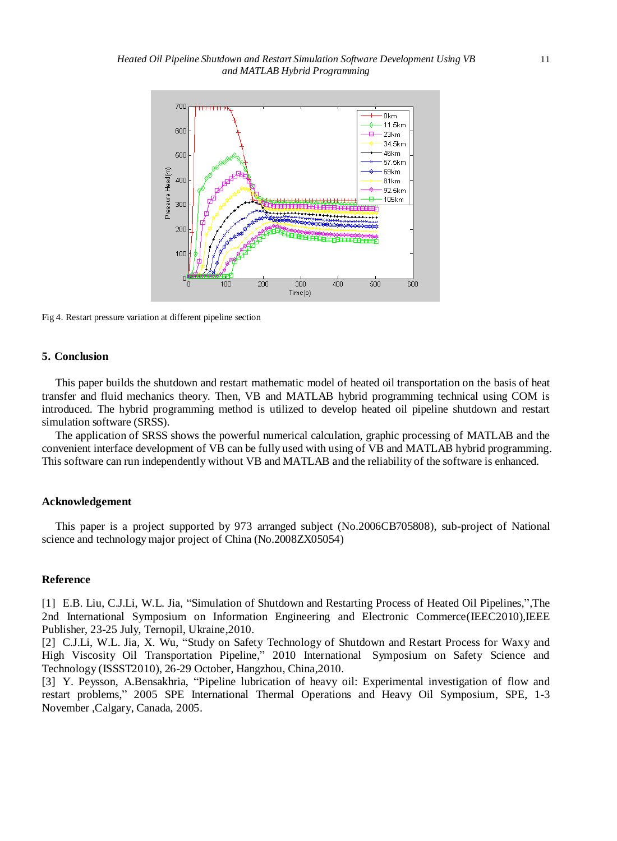

Fig 4. Restart pressure variation at different pipeline section

## **5. Conclusion**

This paper builds the shutdown and restart mathematic model of heated oil transportation on the basis of heat transfer and fluid mechanics theory. Then, VB and MATLAB hybrid programming technical using COM is introduced. The hybrid programming method is utilized to develop heated oil pipeline shutdown and restart simulation software (SRSS).

The application of SRSS shows the powerful numerical calculation, graphic processing of MATLAB and the convenient interface development of VB can be fully used with using of VB and MATLAB hybrid programming. This software can run independently without VB and MATLAB and the reliability of the software is enhanced.

#### **Acknowledgement**

This paper is a project supported by 973 arranged subject (No.2006CB705808), sub-project of National science and technology major project of China (No.2008ZX05054)

#### **Reference**

[1] E.B. Liu, C.J.Li, W.L. Jia, "Simulation of Shutdown and Restarting Process of Heated Oil Pipelines,",The 2nd International Symposium on Information Engineering and Electronic Commerce(IEEC2010),IEEE Publisher, 23-25 July, Ternopil, Ukraine,2010.

[2] C.J.Li, W.L. Jia, X. Wu, "Study on Safety Technology of Shutdown and Restart Process for Waxy and High Viscosity Oil Transportation Pipeline," 2010 International Symposium on Safety Science and Technology (ISSST2010), 26-29 October, Hangzhou, China,2010.

[3] Y. Peysson, A.Bensakhria, "Pipeline lubrication of heavy oil: Experimental investigation of flow and restart problems," 2005 SPE International Thermal Operations and Heavy Oil Symposium, SPE, 1-3 November ,Calgary, Canada, 2005.